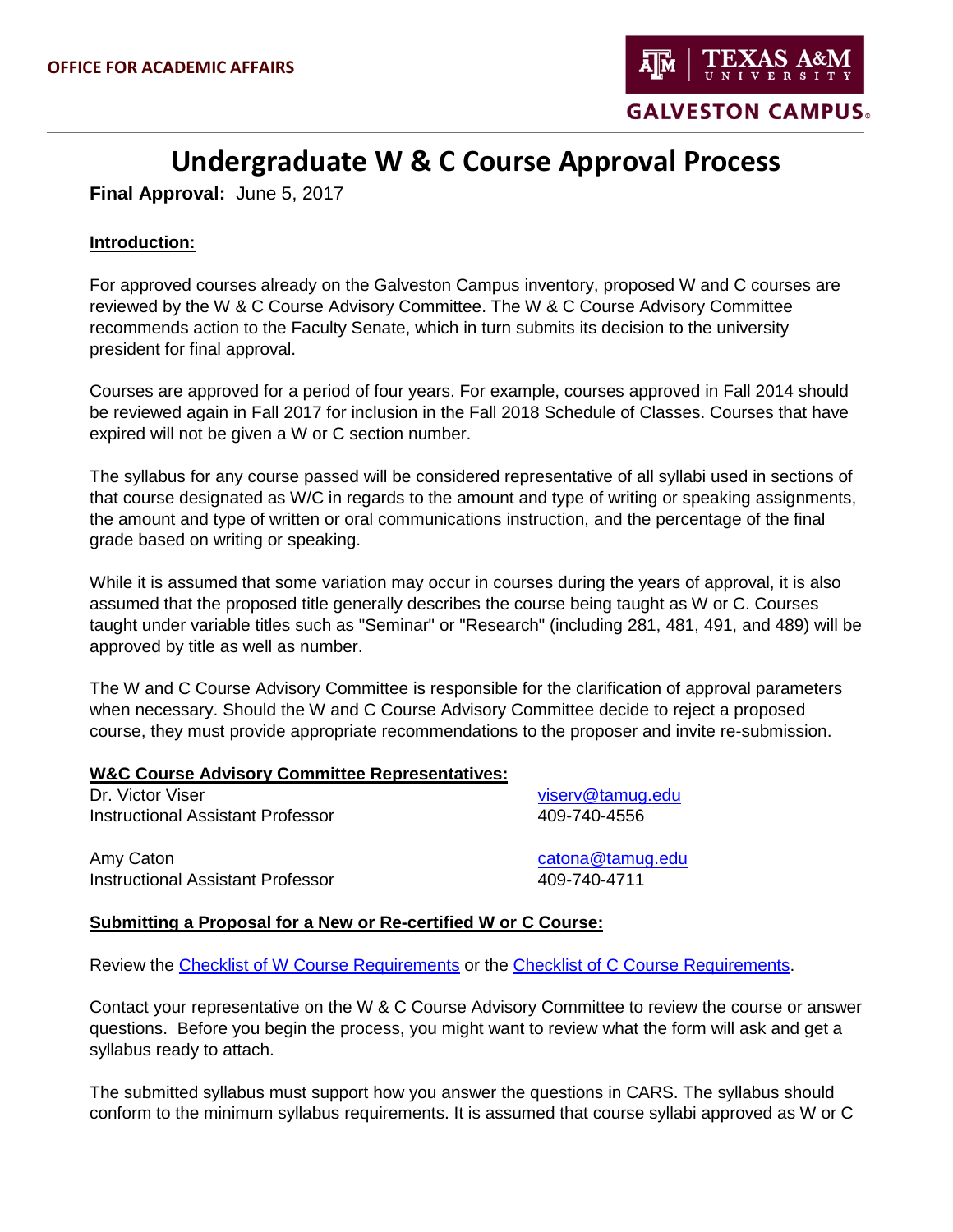

# **Undergraduate W & C Course Approval Process**

**Final Approval:** June 5, 2017

## **Introduction:**

For approved courses already on the Galveston Campus inventory, proposed W and C courses are reviewed by the W & C Course Advisory Committee. The W & C Course Advisory Committee recommends action to the Faculty Senate, which in turn submits its decision to the university president for final approval.

Courses are approved for a period of four years. For example, courses approved in Fall 2014 should be reviewed again in Fall 2017 for inclusion in the Fall 2018 Schedule of Classes. Courses that have expired will not be given a W or C section number.

The syllabus for any course passed will be considered representative of all syllabi used in sections of that course designated as W/C in regards to the amount and type of writing or speaking assignments, the amount and type of written or oral communications instruction, and the percentage of the final grade based on writing or speaking.

While it is assumed that some variation may occur in courses during the years of approval, it is also assumed that the proposed title generally describes the course being taught as W or C. Courses taught under variable titles such as "Seminar" or "Research" (including 281, 481, 491, and 489) will be approved by title as well as number.

The W and C Course Advisory Committee is responsible for the clarification of approval parameters when necessary. Should the W and C Course Advisory Committee decide to reject a proposed course, they must provide appropriate recommendations to the proposer and invite re-submission.

#### **W&C Course Advisory Committee Representatives:**

Dr. Victor Viser [viserv@tamug.edu](mailto:viserv@tamug.edu) Instructional Assistant Professor 409-740-4556

Amy Caton [catona@tamug.edu](mailto:catona@tamug.edu) Instructional Assistant Professor 409-740-4711

## **Submitting a Proposal for a New or Re-certified W or C Course:**

Review the [Checklist of W Course Requirements](http://writingcenter.tamu.edu/Faculty/Apply-for-W-or-C-Course-Approval/W-C-Course-Approval-Process/Checklist-of-W-Course-Requirements) or the [Checklist of C Course Requirements.](http://writingcenter.tamu.edu/Faculty/Apply-for-W-or-C-Course-Approval/W-C-Course-Approval-Process/Checklist-of-C-Course-Requirements)

Contact your representative on the W & C Course Advisory Committee to review the course or answer questions. Before you begin the process, you might want to review what the form will ask and get a syllabus ready to attach.

The submitted syllabus must support how you answer the questions in CARS. The syllabus should conform to the minimum syllabus requirements. It is assumed that course syllabi approved as W or C